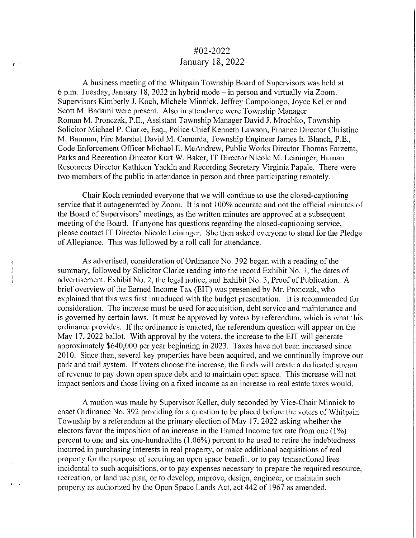## #02-2022 January 18, 2022

A business meeting of the Whitpain Township Board of Supervisors was held at 6 p.m. Tuesday, January 18, 2022 in hybrid mode - in person and virtually via Zoom. Supervisors Kimberly J. Koch, Michele Minnick, Jeffrey Campolongo, Joyce Keller and Scott M. Badami were present. Also in attendance were Township Manager Roman M. Pronczak, P.E., Assistant Township Manager David J. Mrochko, Township Solicitor Michael P. Clarke, Esq., Police Chief Kenneth Lawson, Finance Director Christine M. Bauman, Fire Marshal David M. Camarda, Township Engineer James E. Blanch, P.E., Code Enforcement Officer Michael E. McAndrew, Public Works Director Thomas Farzetta, Parks and Recreation Director Kurt W. Baker, IT Director Nicole M. Leininger, Human Resources Director Kathleen Yackin and Recording Secretary Virginia Papale. There were two members of the public in attendance in person and three participating remotely.

Chair Koch reminded everyone that we will continue to use the closed-captioning service that it autogenerated by Zoom. It is not 100% accurate and not the official minutes of the Board of Supervisors' meetings, as the written minutes are approved at a subsequent meeting of the Board. If anyone has questions regarding the closed-captioning service, please contact IT Director Nicole Leininger. She then asked everyone to stand for the Pledge of Allegiance. This was followed by a roll call for attendance.

As advertised, consideration of Ordinance No. 392 began with a reading of the summary, followed by Solicitor Clarke reading into the record Exhibit No. I, the dates of advertisement, Exhibit No. 2, the legal notice, and Exhibit No. 3, Proof of Publication. A brief overview of the Earned Income Tax (EIT) was presented by Mr. Pronczak, who explained that this was first introduced with the budget presentation. It is recommended for consideration. The increase must be used for acquisition, debt service and maintenance and is governed by certain laws. It must be approved by voters by referendum, which is what this ordinance provides. If the ordinance is enacted, the referendum question will appear on the May 17, 2022 ballot. With approval by the voters, the increase to the EIT will generate approximately \$640,000 per year beginning in 2023. Taxes have not been increased since 2010. Since then, several key properties have been acquired, and we continually improve our park and trail system. If voters choose the increase, the funds will create a dedicated stream of revenue to pay down open space debt and to maintain open space. This increase will not impact seniors and those living on a fixed income as an increase in real estate taxes would.

A motion was made by Supervisor Keller, duly seconded by Vice-Chair Minnick to enact Ordinance No. 392 providing for a question to be placed before the voters of Whitpain Township by a referendum at the primary election of May 17, 2022 asking whether the electors favor the imposition of an increase in the Earned Income tax rate from one (1%) percent to one and six one-hundredths (I .06%) percent to be used to retire the indebtedness incurred in purchasing interests in real property, or make additional acquisitions of real property for the purpose of securing an open space benefit, or to pay transactional fees incidental to such acquisitions, or to pay expenses necessary to prepare the required resource, recreation, or land use plan, or to develop, improve, design, engineer, or maintain such property as authorized by the Open Space Lands Act, act 442 of 1967 as amended.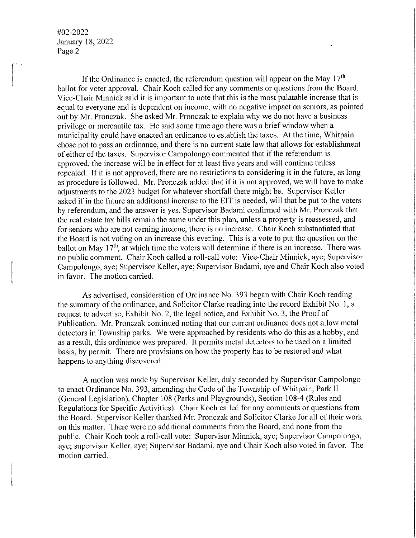If the Ordinance is enacted, the referendum question will appear on the May  $17<sup>th</sup>$ ballot for voter approval. Chair Koch called for any comments or questions from the Board. Vice-Chair Minnick said it is important to note that this is the most palatable increase that is equal to everyone and is dependent on income, with no negative impact on seniors, as pointed out by Mr. Pronczak. She asked Mr. Pronczak to explain why we do not have a business privilege or mercantile tax. He said some time ago there was a brief window when a municipality could have enacted an ordinance to establish the taxes. At the time, Whitpain chose not to pass an ordinance, and there is no current state law that allows for establishment of either of the taxes. Supervisor Campolongo commented that if the referendum is approved, the increase will be in effect for at least five years and will continue unless repealed. If it is not approved, there are no restrictions to considering it in the future, as long as procedure is followed. Mr. Pronczak added that if it is not approved, we will have to make adjustments to the 2023 budget for whatever shortfall there might be. Supervisor Keller asked if in the future an additional increase to the EIT is needed, will that be put to the voters by referendum, and the answer is yes. Supervisor Badami confirmed with Mr. Pronczak that the real estate tax bills remain the same under this plan, unless a property is reassessed, and for seniors who are not earning income, there is no increase. Chair Koch substantiated that the Board is not voting on an increase this evening. This is a vote to put the question on the ballot on May  $17<sup>th</sup>$ , at which time the voters will determine if there is an increase. There was no public comment. Chair Koch called a roll-call vote: Vice-Chair Minnick, aye; Supervisor Campolongo, aye; Supervisor Keller, aye; Supervisor Badami, aye and Chair Koch also voted in favor. The motion carried.

As advertised, consideration of Ordinance No. 393 began with Chair Koch reading the summary of the ordinance, and Solicitor Clarke reading into the record Exhibit No. I, a request to advertise, Exhibit No. 2, the legal notice, and Exhibit No. 3, the Proof of Publication. Mr. Pronczak continued noting that our current ordinance does not allow metal detectors in Township parks. We were approached by residents who do this as a hobby, and as a result, this ordinance was prepared. It permits metal detectors to be used on a limited basis, by permit. There are provisions on how the property has to be restored and what happens to anything discovered.

A motion was made by Supervisor Keller, duly seconded by Supervisor Campolongo to enact Ordinance No. 393, amending the Code of the Township of Whitpain, Park II (General Legislation), Chapter 108 (Parks and Playgrounds), Section 108-4 (Rules and Regulations for Specific Activities). Chair Koch called for any comments or questions from the Board. Supervisor Keller thanked Mr. Pronczak and Solicitor Clarke for all of their work on this matter. There were no additional comments from the Board, and none from the public. Chair Koch took a roll-call vote: Supervisor Minnick, aye; Supervisor Campolongo, aye; supervisor Keller, aye; Supervisor Badami, aye and Chair Koch also voted in favor. The motion carried.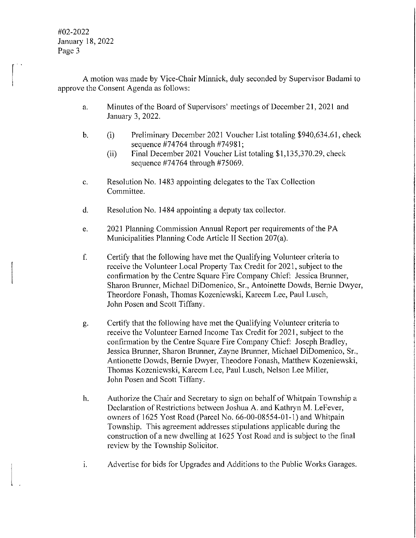A motion was made by Vice-Chair Minnick, duly seconded by Supervisor Badami to approve the Consent Agenda as follows:

- a. Minutes of the Board of Supervisors' meetings of December 21, 2021 and January 3, 2022.
- b. (i) Preliminary December 2021 Voucher List totaling \$940,634.61, check sequence #74764 through #74981;
	- (ii) Final December 2021 Voucher List totaling \$1,135,370.29, check sequence #74764 through #75069.
- c. Resolution No. 1483 appointing delegates to the Tax Collection Committee.
- d. Resolution No. 1484 appointing a deputy tax collector.
- e. 2021 Planning Commission Annual Report per requirements of the PA Municipalities Planning Code Article II Section 207(a).
- f. Certify that the following have met the Qualifying Volunteer criteria to receive the Volunteer Local Property Tax Credit for 2021, subject to the confirmation by the Centre Square Fire Company Chief: Jessica Brunner, Sharon Brunner, Michael DiDomenico, Sr., Antoinette Dowds, Bernie Dwyer, Theordore Fonash, Thomas Kozeniewski, Kareem Lee, Paul Lusch, John Posen and Scott Tiffany.
- g. Certify that the following have met the Qualifying Volunteer criteria to receive the Volunteer Earned Income Tax Credit for 2021, subject to the confirmation by the Centre Square Fire Company Chief: Joseph Bradley, Jessica Brunner, Sharon Brunner, Zayne Brunner, Michael DiDomenico, Sr., Antionette Dowds, Bernie Dwyer, Theodore Fonash, Matthew Kozeniewski, Thomas Kozeniewski, Kareem Lee, Paul Lusch, Nelson Lee Miller, John Posen and Scott Tiffany.
- h. Authorize the Chair and Secretary to sign on behalf of Whitpain Township a Declaration of Restrictions between Joshua A. and Kathryn M. Lefever, owners of 1625 Yost Road (Parcel No. 66-00-08554-01-l) and Whitpain Township. This agreement addresses stipulations applicable during the construction of a new dwelling at 1625 Yost Road and is subject to the final review by the Township Solicitor.
- 1. Advertise for bids for Upgrades and Additions to the Public Works Garages.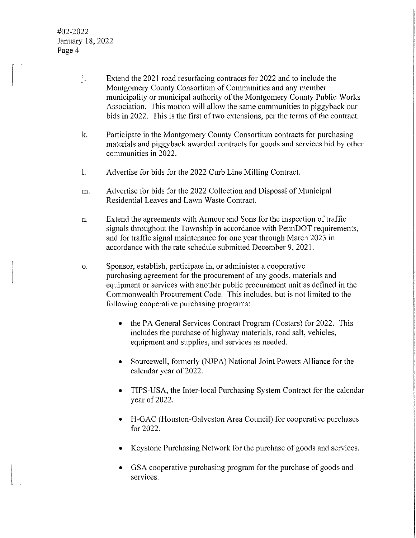$\vert$ 

- J. Extend the 2021 road resurfacing contracts for 2022 and to include the Montgomery County Consortium of Communities and any member municipality or municipal authority of the Montgomery County Public Works Association. This motion will allow the same communities to piggyback our bids in 2022. This is the first of two extensions, per the terms of the contract.
- k. Participate in the Montgomery County Consortium contracts for purchasing materials and piggyback awarded contracts for goods and services bid by other communities in 2022.
- I. Advertise for bids for the 2022 Curb Line Milling Contract.
- m. Advertise for bids for the 2022 Collection and Disposal of Municipal Residential Leaves and Lawn Waste Contract.
- n. Extend the agreements with Armour and Sons for the inspection of traffic signals throughout the Township in accordance with PennDOT requirements, and for traffic signal maintenance for one year through March 2023 in accordance with the rate schedule submitted December 9, 2021.
- o. Sponsor, establish, participate in, or administer a cooperative purchasing agreement for the procurement of any goods, materials and equipment or services with another public procurement unit as defined in the Commonwealth Procurement Code. This includes, but is not limited to the following cooperative purchasing programs:
	- the **PA** General Services Contract Program (Costars) for 2022. This includes the purchase of highway materials, road salt, vehicles, equipment and supplies, and services as needed.
	- Sourcewell, formerly (NJPA) National Joint Powers Alliance for the calendar year of 2022.
	- TIPS-USA, the Inter-local Purchasing System Contract for the calendar year of 2022.
	- H-GAC (Houston-Galveston Area Council) for cooperative purchases for 2022.
	- Keystone Purchasing Network for the purchase of goods and services.
	- GSA cooperative purchasing program for the purchase of goods and services.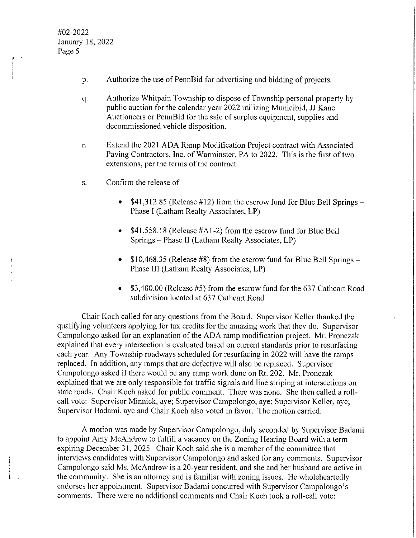- p. Authorize the use of PennBid for advertising and bidding of projects.
- q. Authorize Whitpain Township to dispose of Township personal property by public auction for the calendar year 2022 utilizing Municibid, JJ Kane Auctioneers or PennBid for the sale of surplus equipment, supplies and decommissioned vehicle disposition.
- r. Extend the 2021 ADA Ramp Modification Project contract with Associated Paving Contractors, Inc. of Warminster, PA to 2022. This is the first of two extensions, per the terms of the contract.
- s. Confirm the release of
	- $$41,312.85$  (Release #12) from the escrow fund for Blue Bell Springs Phase I (Latham Realty Associates, **LP)**
	- \$41,558.18 (Release #A1-2) from the escrow fund for Blue Bell Springs - Phase II (Latham Realty Associates, LP)
	- \$10,468.35 (Release #8) from the escrow fund for Blue Bell Springs Phase III (Latham Realty Associates, LP)
	- \$3,400.00 (Release #5) from the escrow fund for the 637 Cathcart Road subdivision located at 637 Cathcart Road

Chair Koch called for any questions from the Board. Supervisor Keller thanked the qualifying volunteers applying for tax credits for the amazing work that they do. Supervisor Campolongo asked for an explanation of the ADA ramp modification project. Mr. Pronczak explained that every intersection is evaluated based on current standards prior to resurfacing each year. Any Township roadways scheduled for resurfacing in 2022 will have the ramps replaced. In addition, any ramps that are defective will also be replaced. Supervisor Campolongo asked if there would be any ramp work done on Rt. 202. Mr. Pronczak explained that we are only responsible for traffic signals and line striping at intersections on state roads. Chair Koch asked for public comment. There was none. She then called a rollcall vote: Supervisor Minnick, aye; Supervisor Campolongo, aye; Supervisor Keller, aye; Supervisor Badami, aye and Chair Koch also voted in favor. The motion carried.

A motion was made by Supervisor Campolongo, duly seconded by Supervisor Badami to appoint Amy McAndrew to fulfill a vacancy on the Zoning Hearing Board with a term expiring December 31, 2025. Chair Koch said she is a member of the committee that interviews candidates with Supervisor Campolongo and asked for any comments. Supervisor Campolongo said Ms. McAndrew is a 20-year resident, and she and her husband are active in the community. She is an attorney and is familiar with zoning issues. He wholeheartedly endorses her appointment. Supervisor Badami concurred with Supervisor Campolongo's comments. There were no additional comments and Chair Koch took a roll-call vote: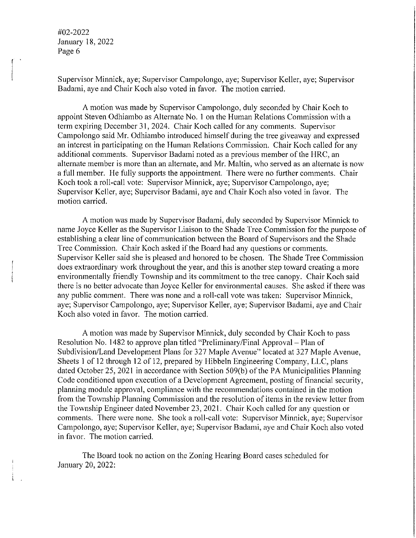Supervisor Minnick, aye; Supervisor Campolongo, aye; Supervisor Keller, aye; Supervisor Badami, aye and Chair Koch also voted in favor. The motion carried.

A motion was made by Supervisor Campolongo, duly seconded by Chair Koch to appoint Steven Odhiambo as Alternate No. I on the Human Relations Commission with a term expiring December 31, 2024. Chair Koch called for any comments. Supervisor Campolongo said Mr. Odhiambo introduced himself during the tree giveaway and expressed an interest in participating on the Human Relations Commission. Chair Koch called for any additional comments. Supervisor Badami noted as a previous member of the HRC, an alternate member is more than an alternate, and Mr. Mallin, who served as an alternate is now a full member. He fully supports the appointment. There were no further comments. Chair Koch took a roll-call vote: Supervisor Minnick, aye; Supervisor Campolongo, aye; Supervisor Keller, aye; Supervisor Badami, aye and Chair Koch also voted in favor. The motion carried.

A motion was made by Supervisor Badami, duly seconded by Supervisor Minnick to name Joyce Keller as the Supervisor Liaison to the Shade Tree Commission for the purpose of establishing a clear line of communication between the Board of Supervisors and the Shade Tree Commission. Chair Koch asked if the Board had any questions or comments. Supervisor Keller said she is pleased and honored to be chosen. The Shade Tree Commission does extraordinary work throughout the year, and this is another step toward creating a more environmentally friendly Township and its commitment to the tree canopy. Chair Koch said there is no better advocate than Joyce Keller for environmental causes. She asked if there was any public comment. There was none and a roll-call vote was taken: Supervisor Minnick, aye; Supervisor Campolongo, aye; Supervisor Keller, aye; Supervisor Badami, aye and Chair Koch also voted in favor. The motion carried.

A motion was made by Supervisor Minnick, duly seconded by Chair Koch to pass Resolution No. 1482 to approve plan titled "Preliminary/Final Approval- Plan of Subdivision/Land Development Plans for 327 Maple Avenue" located at 327 Maple Avenue, Sheets I of 12 through 12 of 12, prepared by Hibbeln Engineering Company, LLC, plans dated October 25, 2021 in accordance with Section 509(b) of the PA Municipalities Planning Code conditioned upon execution of a Development Agreement, posting of financial security, planning module approval, compliance with the recommendations contained in the motion from the Township Planning Commission and the resolution of items in the review letter from the Township Engineer dated November 23, 2021. Chair Koch called for any question or comments. There were none. She took a roll-call vote: Supervisor Minnick, aye; Supervisor Campolongo, aye; Supervisor Keller, aye; Supervisor Badami, aye and Chair Koch also voted in favor. The motion carried.

The Board took no action on the Zoning Hearing Board cases scheduled for January 20, 2022: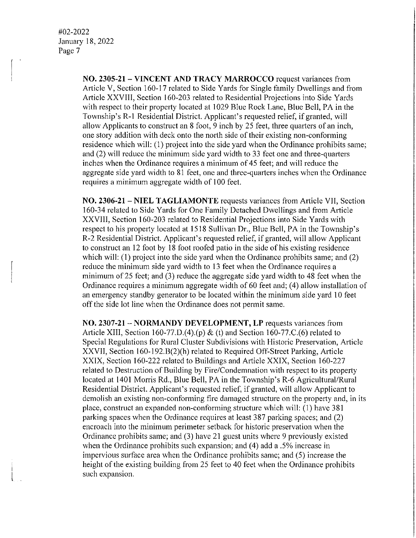> **NO. 2305-21 - VINCENT AND TRACY MARROCCO** request variances from Article V, Section 160-17 related to Side Yards for Single family Dwellings and from Article XXVIII, Section 160-203 related to Residential Projections into Side Yards with respect to their property located at 1029 Blue Rock Lane, Blue Bell, PA in the Township's R-1 Residential District. Applicant's requested relief, if granted, will allow Applicants to construct an 8 foot, 9 inch by 25 feet, three quarters of an inch, one story addition with deck onto the north side of their existing non-conforming residence which will: (I) project into the side yard when the Ordinance prohibits same; and  $(2)$  will reduce the minimum side yard width to 33 feet one and three-quarters inches when the Ordinance requires a minimum of 45 feet; and will reduce the aggregate side yard width to 81 feet, one and three-quarters inches when the Ordinance requires a minimum aggregate width of 100 feet.

> **NO. 2306-21- NIEL TAGLIAMONTE** requests variances from Article VII, Section 160-34 related to Side Yards for One Family Detached Dwellings and from Article XXVIII, Section 160-203 related to Residential Projections into Side Yards with respect to his property located at 1518 Sullivan Dr., Blue Bell, PA in the Township's R-2 Residential District. Applicant's requested relief, if granted, will allow Applicant to construct an 12 foot by 18 foot roofed patio in the side of his existing residence which will: (I) project into the side yard when the Ordinance prohibits same; and (2) reduce the minimum side yard width to 13 feet when the Ordinance requires a minimum of25 feet; and (3) reduce the aggregate side yard width to 48 feet when the Ordinance requires a minimum aggregate width of 60 feet and; (4) allow installation of an emergency standby generator to be located within the minimum side yard IO feet off the side lot line when the Ordinance does not permit same.

> **NO. 2307-21 - NORMANDY DEVELOPMENT, LP** requests variances from Article XIII, Section 160-77.D.(4).(p) & (t) and Section 160-77.C.(6) related to Special Regulations for Rural Cluster Subdivisions with Historic Preservation, Article XXVII, Section 160-192.B(2)(h) related to Required Off-Street Parking, Article XXIX, Section 160-222 related to Buildings and Article XXIX, Section 160-227 related to Destruction of Building by Fire/Condemnation with respect to its property located at 1401 Morris Rd., Blue Bell, PA in the Township's R-6 Agricultural/Rural Residential District. Applicant's requested relief, if granted, will allow Applicant to demolish an existing non-conforming fire damaged structure on the property and, in its place, construct an expanded non-conforming structure which will: (I) have 381 parking spaces when the Ordinance requires at least 387 parking spaces; and (2) encroach into the minimum perimeter setback for historic preservation when the Ordinance prohibits same; and (3) have 21 guest units where 9 previously existed when the Ordinance prohibits such expansion; and (4) add a .5% increase in impervious surface area when the Ordinance prohibits same; and (5) increase the height of the existing building from 25 feet to 40 feet when the Ordinance prohibits such expansion.